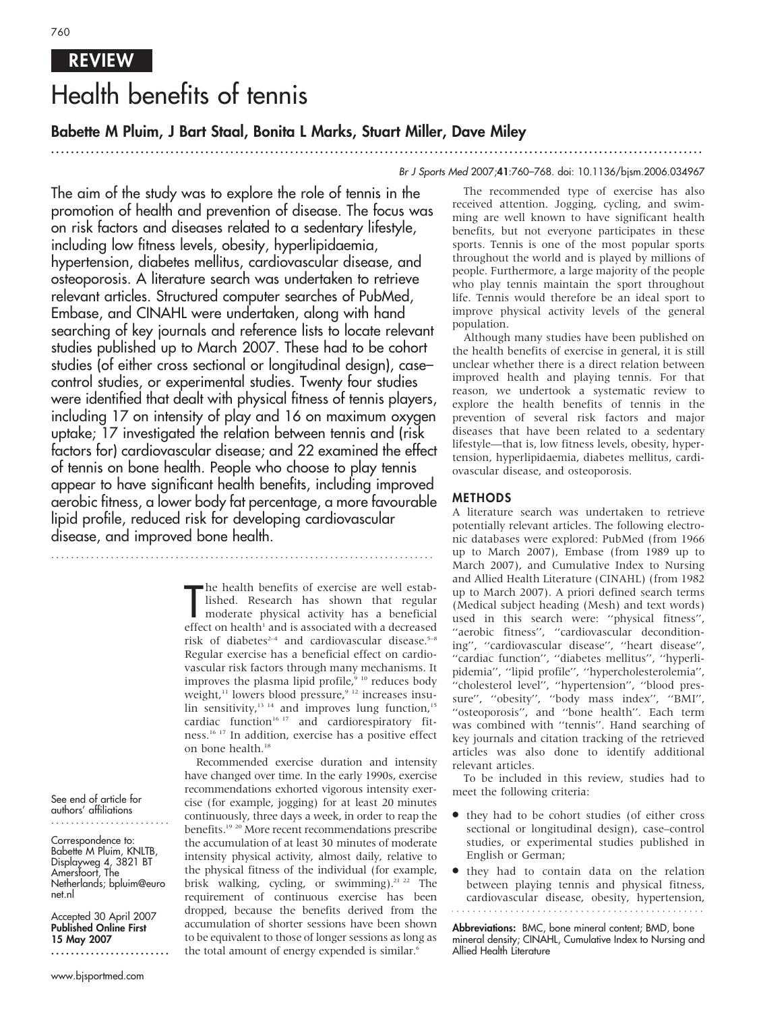REVIEW

# Health benefits of tennis

# Babette M Pluim, J Bart Staal, Bonita L Marks, Stuart Miller, Dave Miley

# ............................................................... ............................................................... ..... Br J Sports Med 2007;41:760–768. doi: 10.1136/bjsm.2006.034967

The aim of the study was to explore the role of tennis in the promotion of health and prevention of disease. The focus was on risk factors and diseases related to a sedentary lifestyle, including low fitness levels, obesity, hyperlipidaemia, hypertension, diabetes mellitus, cardiovascular disease, and osteoporosis. A literature search was undertaken to retrieve relevant articles. Structured computer searches of PubMed, Embase, and CINAHL were undertaken, along with hand searching of key journals and reference lists to locate relevant studies published up to March 2007. These had to be cohort studies (of either cross sectional or longitudinal design), case– control studies, or experimental studies. Twenty four studies were identified that dealt with physical fitness of tennis players, including 17 on intensity of play and 16 on maximum oxygen uptake; 17 investigated the relation between tennis and (risk factors for) cardiovascular disease; and 22 examined the effect of tennis on bone health. People who choose to play tennis appear to have significant health benefits, including improved aerobic fitness, a lower body fat percentage, a more favourable lipid profile, reduced risk for developing cardiovascular disease, and improved bone health.

............................................................... ..............

The health benefits of exercise are well estab-<br>lished. Research has shown that regular<br>moderate physical activity has a beneficial<br>effect on health<sup>1</sup> and is associated with a decreased he health benefits of exercise are well established. Research has shown that regular moderate physical activity has a beneficial risk of diabetes<sup>2-4</sup> and cardiovascular disease.<sup>5-8</sup> Regular exercise has a beneficial effect on cardiovascular risk factors through many mechanisms. It improves the plasma lipid profile,<sup>9 10</sup> reduces body weight,<sup>11</sup> lowers blood pressure,<sup>9</sup><sup>12</sup> increases insulin sensitivity, $13 \frac{14}{14}$  and improves lung function, $15$ cardiac function<sup>16 17</sup> and cardiorespiratory fitness.<sup>16 17</sup> In addition, exercise has a positive effect on bone health.<sup>18</sup>

Recommended exercise duration and intensity have changed over time. In the early 1990s, exercise recommendations exhorted vigorous intensity exercise (for example, jogging) for at least 20 minutes continuously, three days a week, in order to reap the benefits.19 20 More recent recommendations prescribe the accumulation of at least 30 minutes of moderate intensity physical activity, almost daily, relative to the physical fitness of the individual (for example, brisk walking, cycling, or swimming).<sup>21 22</sup> The requirement of continuous exercise has been dropped, because the benefits derived from the accumulation of shorter sessions have been shown to be equivalent to those of longer sessions as long as the total amount of energy expended is similar.<sup>6</sup>

The recommended type of exercise has also received attention. Jogging, cycling, and swimming are well known to have significant health benefits, but not everyone participates in these sports. Tennis is one of the most popular sports throughout the world and is played by millions of people. Furthermore, a large majority of the people who play tennis maintain the sport throughout life. Tennis would therefore be an ideal sport to improve physical activity levels of the general population.

Although many studies have been published on the health benefits of exercise in general, it is still unclear whether there is a direct relation between improved health and playing tennis. For that reason, we undertook a systematic review to explore the health benefits of tennis in the prevention of several risk factors and major diseases that have been related to a sedentary lifestyle—that is, low fitness levels, obesity, hypertension, hyperlipidaemia, diabetes mellitus, cardiovascular disease, and osteoporosis.

## METHODS

A literature search was undertaken to retrieve potentially relevant articles. The following electronic databases were explored: PubMed (from 1966 up to March 2007), Embase (from 1989 up to March 2007), and Cumulative Index to Nursing and Allied Health Literature (CINAHL) (from 1982 up to March 2007). A priori defined search terms (Medical subject heading (Mesh) and text words) used in this search were: ''physical fitness'', "aerobic fitness", "cardiovascular deconditioning'', ''cardiovascular disease'', ''heart disease'', "cardiac function", "diabetes mellitus", "hyperlipidemia'', ''lipid profile'', ''hypercholesterolemia'', "cholesterol level", "hypertension", "blood pressure'', ''obesity'', ''body mass index'', ''BMI'', "osteoporosis", and "bone health". Each term was combined with ''tennis''. Hand searching of key journals and citation tracking of the retrieved articles was also done to identify additional relevant articles.

To be included in this review, studies had to meet the following criteria:

- they had to be cohort studies (of either cross sectional or longitudinal design), case–control studies, or experimental studies published in English or German;
- $\bullet$  they had to contain data on the relation between playing tennis and physical fitness, cardiovascular disease, obesity, hypertension,

Abbreviations: BMC, bone mineral content; BMD, bone mineral density; CINAHL, Cumulative Index to Nursing and Allied Health Literature

See end of article for authors' affiliations ........................

Correspondence to: Babette M Pluim, KNLTB, Displayweg 4, 3821 BT Amersfoort, The Netherlands; bpluim@euro net.nl

Accepted 30 April 2007 Published Online First 15 May 2007

........................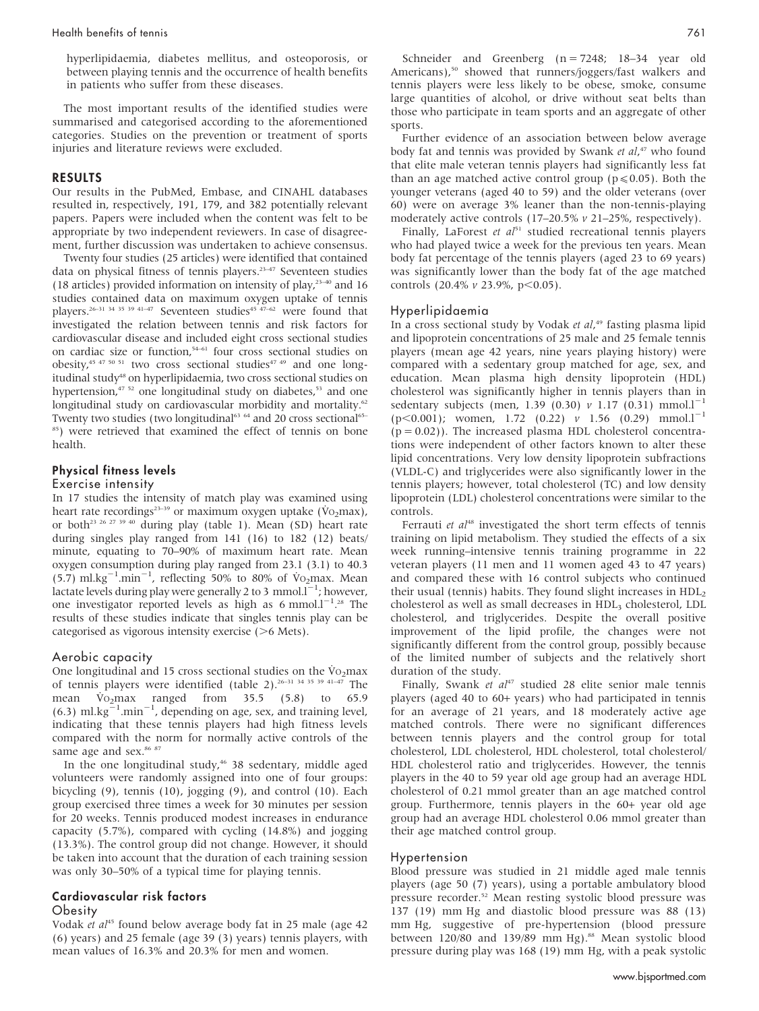hyperlipidaemia, diabetes mellitus, and osteoporosis, or between playing tennis and the occurrence of health benefits in patients who suffer from these diseases.

The most important results of the identified studies were summarised and categorised according to the aforementioned categories. Studies on the prevention or treatment of sports injuries and literature reviews were excluded.

### RESULTS

Our results in the PubMed, Embase, and CINAHL databases resulted in, respectively, 191, 179, and 382 potentially relevant papers. Papers were included when the content was felt to be appropriate by two independent reviewers. In case of disagreement, further discussion was undertaken to achieve consensus.

Twenty four studies (25 articles) were identified that contained data on physical fitness of tennis players.<sup>23-47</sup> Seventeen studies (18 articles) provided information on intensity of play, $23-40$  and 16 studies contained data on maximum oxygen uptake of tennis players.<sup>26–31</sup> <sup>34</sup> <sup>35</sup> <sup>39</sup> <sup>41–47</sup> Seventeen studies<sup>45</sup> <sup>47–62</sup> were found that investigated the relation between tennis and risk factors for cardiovascular disease and included eight cross sectional studies on cardiac size or function,<sup>54-61</sup> four cross sectional studies on obesity, $45$   $47$   $50$   $51$  two cross sectional studies $47$   $49$  and one longitudinal study<sup>48</sup> on hyperlipidaemia, two cross sectional studies on hypertension,<sup>47 52</sup> one longitudinal study on diabetes,<sup>53</sup> and one longitudinal study on cardiovascular morbidity and mortality.<sup>62</sup> Twenty two studies (two longitudinal<sup>63 64</sup> and 20 cross sectional<sup>65-</sup> <sup>85</sup>) were retrieved that examined the effect of tennis on bone health.

### Physical fitness levels

#### Exercise intensity

In 17 studies the intensity of match play was examined using heart rate recordings<sup>23–39</sup> or maximum oxygen uptake ( $\dot{V}o_2$ max), or both<sup>23 26 27 39 40</sup> during play (table 1). Mean (SD) heart rate during singles play ranged from 141 (16) to 182 (12) beats/ minute, equating to 70–90% of maximum heart rate. Mean oxygen consumption during play ranged from 23.1 (3.1) to 40.3  $(5.7)$  ml.kg<sup>-1</sup>.min<sup>-1</sup>, reflecting 50% to 80% of Vo<sub>2</sub>max. Mean lactate levels during play were generally 2 to 3  $mmol.l<sup>-1</sup>$ ; however, one investigator reported levels as high as 6 mmol. $l^{-1}$ .<sup>28</sup> The results of these studies indicate that singles tennis play can be categorised as vigorous intensity exercise  $($  > 6 Mets).

## Aerobic capacity

One longitudinal and 15 cross sectional studies on the  $\dot{V}o_2$ max of tennis players were identified (table 2).<sup>26–31 34 35 39 41–47</sup> The mean  $\dot{V}$ <sub>2</sub>max ranged from 35.5 (5.8) to 65.9  $(6.3)$  ml.kg<sup>-1</sup>.min<sup>-1</sup>, depending on age, sex, and training level, indicating that these tennis players had high fitness levels compared with the norm for normally active controls of the same age and sex.<sup>86 87</sup>

In the one longitudinal study, $46$  38 sedentary, middle aged volunteers were randomly assigned into one of four groups: bicycling (9), tennis (10), jogging (9), and control (10). Each group exercised three times a week for 30 minutes per session for 20 weeks. Tennis produced modest increases in endurance capacity (5.7%), compared with cycling (14.8%) and jogging (13.3%). The control group did not change. However, it should be taken into account that the duration of each training session was only 30–50% of a typical time for playing tennis.

#### Cardiovascular risk factors Obesity

Vodak et al<sup>45</sup> found below average body fat in 25 male (age 42 (6) years) and 25 female (age 39 (3) years) tennis players, with mean values of 16.3% and 20.3% for men and women.

Schneider and Greenberg (n = 7248; 18-34 year old Americans),<sup>50</sup> showed that runners/joggers/fast walkers and tennis players were less likely to be obese, smoke, consume large quantities of alcohol, or drive without seat belts than those who participate in team sports and an aggregate of other sports.

Further evidence of an association between below average body fat and tennis was provided by Swank et al,<sup>47</sup> who found that elite male veteran tennis players had significantly less fat than an age matched active control group ( $p \le 0.05$ ). Both the younger veterans (aged 40 to 59) and the older veterans (over 60) were on average 3% leaner than the non-tennis-playing moderately active controls (17–20.5%  $v$  21–25%, respectively).

Finally, LaForest et  $a^{f51}$  studied recreational tennis players who had played twice a week for the previous ten years. Mean body fat percentage of the tennis players (aged 23 to 69 years) was significantly lower than the body fat of the age matched controls  $(20.4\% \nu 23.9\%, p<0.05)$ .

#### Hyperlipidaemia

In a cross sectional study by Vodak et al,<sup>49</sup> fasting plasma lipid and lipoprotein concentrations of 25 male and 25 female tennis players (mean age 42 years, nine years playing history) were compared with a sedentary group matched for age, sex, and education. Mean plasma high density lipoprotein (HDL) cholesterol was significantly higher in tennis players than in sedentary subjects (men, 1.39 (0.30) v 1.17 (0.31) mmol. $l^{-1}$  $(p<0.001)$ ; women, 1.72 (0.22) v 1.56 (0.29) mmol.l<sup>-1</sup>  $(p = 0.02)$ ). The increased plasma HDL cholesterol concentrations were independent of other factors known to alter these lipid concentrations. Very low density lipoprotein subfractions (VLDL-C) and triglycerides were also significantly lower in the tennis players; however, total cholesterol (TC) and low density lipoprotein (LDL) cholesterol concentrations were similar to the controls.

Ferrauti et al<sup>48</sup> investigated the short term effects of tennis training on lipid metabolism. They studied the effects of a six week running–intensive tennis training programme in 22 veteran players (11 men and 11 women aged 43 to 47 years) and compared these with 16 control subjects who continued their usual (tennis) habits. They found slight increases in  $HDL<sub>2</sub>$ cholesterol as well as small decreases in HDL3 cholesterol, LDL cholesterol, and triglycerides. Despite the overall positive improvement of the lipid profile, the changes were not significantly different from the control group, possibly because of the limited number of subjects and the relatively short duration of the study.

Finally, Swank et  $aI^{47}$  studied 28 elite senior male tennis players (aged 40 to 60+ years) who had participated in tennis for an average of 21 years, and 18 moderately active age matched controls. There were no significant differences between tennis players and the control group for total cholesterol, LDL cholesterol, HDL cholesterol, total cholesterol/ HDL cholesterol ratio and triglycerides. However, the tennis players in the 40 to 59 year old age group had an average HDL cholesterol of 0.21 mmol greater than an age matched control group. Furthermore, tennis players in the 60+ year old age group had an average HDL cholesterol 0.06 mmol greater than their age matched control group.

#### Hypertension

Blood pressure was studied in 21 middle aged male tennis players (age 50 (7) years), using a portable ambulatory blood pressure recorder.52 Mean resting systolic blood pressure was 137 (19) mm Hg and diastolic blood pressure was 88 (13) mm Hg, suggestive of pre-hypertension (blood pressure between 120/80 and 139/89 mm Hg).<sup>88</sup> Mean systolic blood pressure during play was 168 (19) mm Hg, with a peak systolic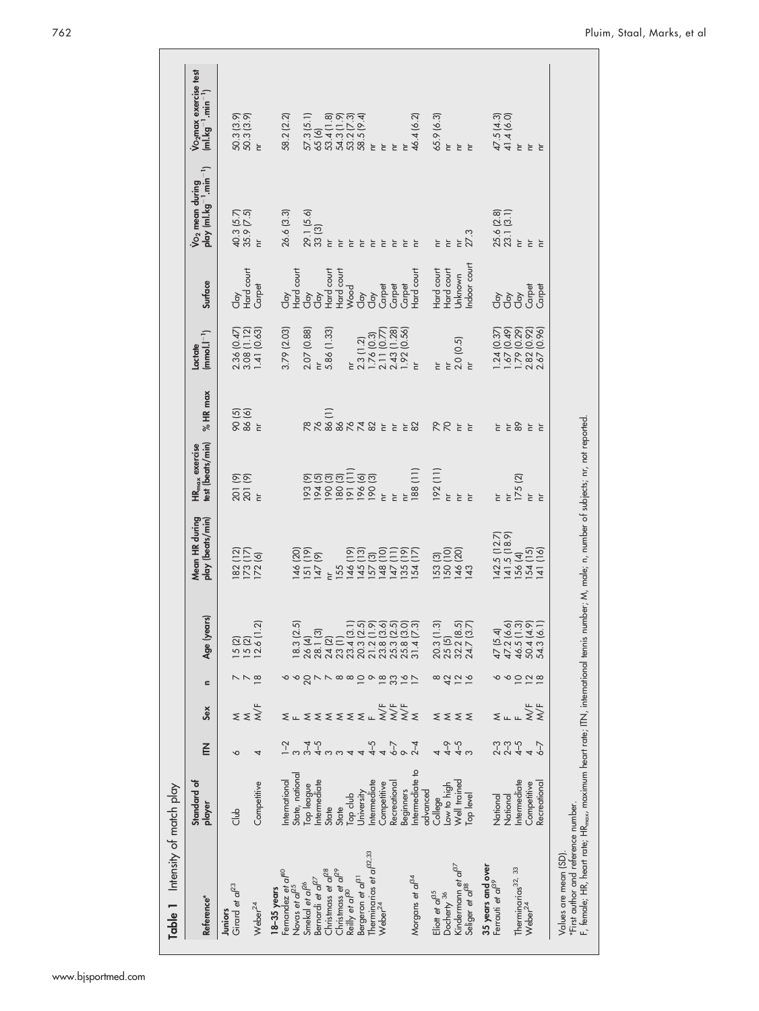| Table 1 Intensity of match play                                                                                                                                                                                        |                                  |                    |                                                                               |                                           |                                                                            |                                        |                                                |                                                                                       |                                                                                                                  |                            |                                                                               |                                                                |
|------------------------------------------------------------------------------------------------------------------------------------------------------------------------------------------------------------------------|----------------------------------|--------------------|-------------------------------------------------------------------------------|-------------------------------------------|----------------------------------------------------------------------------|----------------------------------------|------------------------------------------------|---------------------------------------------------------------------------------------|------------------------------------------------------------------------------------------------------------------|----------------------------|-------------------------------------------------------------------------------|----------------------------------------------------------------|
| Reference*                                                                                                                                                                                                             | Standard of<br>player            | $\leq$             | Sex                                                                           | $\mathbf{r}$                              | Age (years)                                                                | Mean HR during<br>play (beats/min)     | test (beats/min)<br>HR <sub>max</sub> exercise | % HR max                                                                              | $(mmol.1-1)$<br>Lactate                                                                                          | Surface                    | play (ml.kg <sup>-1</sup> .min <sup>-1</sup> )<br>Vo <sub>2</sub> mean during | Vo <sub>2</sub> max exercise test<br>$(ml.kg^{-1}.min^{-1})$   |
| Girard et $\alpha^{23}$<br><b>Juniors</b>                                                                                                                                                                              | dub                              | $\sim$             | $\leq$                                                                        |                                           |                                                                            | 182 (12)<br>173 (17)<br>172 (6)        | 201 (9)<br>201 (9)<br>rr                       | 90 (5)<br>86 (6)                                                                      | 2.36 (0.47)<br>3.08 (1.12)<br>1.41 (0.63)                                                                        | Clay                       | 40.3 (5.7)<br>35.9 (7.5)                                                      | 50.3 (3.9)<br>50.3 (3.9)<br>nr                                 |
| Weber <sup>24</sup>                                                                                                                                                                                                    | Competitive                      | 4                  | M/F                                                                           | $\sim$ $\frac{8}{1}$                      | $\begin{array}{c} 15(2) \\ 15(2) \\ 12.6(1.2) \end{array}$                 |                                        |                                                | $\overleftarrow{c}$                                                                   |                                                                                                                  | Hard court<br>Carpet       | $\overleftarrow{\Xi}$                                                         |                                                                |
| $18-35$ years                                                                                                                                                                                                          |                                  |                    |                                                                               |                                           |                                                                            |                                        |                                                |                                                                                       |                                                                                                                  |                            |                                                                               |                                                                |
| Fernandez <i>et al<sup>40</sup><br/>Novas et al<sup>25</sup></i>                                                                                                                                                       | State, national<br>International | $\frac{1}{3}$      | <b>≥≥≥≥≥≥</b>                                                                 | ∿<br>♦                                    | (2.5)<br>18.3 <sub>0</sub>                                                 | 46 (20)                                |                                                |                                                                                       | 3.79 (2.03)                                                                                                      | Hard court<br>Clay         | 26.6 (3.3)                                                                    | 58.2 (2.2)                                                     |
| Smekal et al <sup>26</sup>                                                                                                                                                                                             | Top league<br>Intermediate       | $3 - 4$<br>$4 - 5$ |                                                                               | $\frac{1}{2}$                             | $\frac{26}{18}$ (4)<br>28.1 (3)                                            | 151 (19)<br>1 <i>4</i> 7 (9)           |                                                |                                                                                       | 2.07 (0.88)                                                                                                      | Clay<br>Clay               | 29.1 (5.6)<br>33 (3)                                                          | 57.3 (5.1)                                                     |
| Bernardi et al <sup>27</sup>                                                                                                                                                                                           |                                  |                    |                                                                               |                                           |                                                                            |                                        |                                                |                                                                                       | $\geq$                                                                                                           |                            |                                                                               |                                                                |
| Christmass et al <sup>28</sup><br>Christmass et al <sup>29</sup>                                                                                                                                                       | State<br><b>State</b>            | $\infty$           |                                                                               |                                           |                                                                            | 155<br>$\overline{a}$                  | 86666566<br>88666666<br>88666666               | 8<br>8<br>8<br>8<br>8<br>8<br>8<br>8<br>8<br>8<br>8<br>8<br>8<br>8<br>8<br>8<br>8<br> | 5.86 (1.33)                                                                                                      | Hard court<br>Hard court   | $\overleftarrow{\Xi}$<br>는                                                    | 65 (6)<br>53.4 (1.8)<br>54.3 (1.9)<br>54.3 (9.4)<br>58.5 (9.4) |
| Reilly et al <sup>30</sup>                                                                                                                                                                                             | Top club                         |                    |                                                                               | $\infty$ $\infty$ $\infty$                |                                                                            |                                        |                                                |                                                                                       |                                                                                                                  | Wood                       | $\geq$                                                                        |                                                                |
| Bergeron et al <sup>81</sup>                                                                                                                                                                                           | University                       |                    |                                                                               |                                           |                                                                            |                                        |                                                |                                                                                       | $\frac{nr}{2.3(1.2)}$                                                                                            | Clay                       |                                                                               |                                                                |
| Therminarias et al <sup>32,33</sup>                                                                                                                                                                                    | Intermediate                     | $4 - 5$            |                                                                               |                                           |                                                                            |                                        |                                                |                                                                                       | $1.76$ (0.3)<br>2.11 (0.77)<br>2.43 (1.28)<br>1.92 (0.56)                                                        | Clay                       | EEEEEE                                                                        | $\overleftarrow{\Xi}$                                          |
| Weber <sup>24</sup>                                                                                                                                                                                                    | Competitive                      |                    |                                                                               |                                           |                                                                            |                                        | $\overline{a}$                                 | $\overleftarrow{\Xi}$                                                                 |                                                                                                                  |                            |                                                                               | Ĕ                                                              |
|                                                                                                                                                                                                                        | Recreational                     | 4004               | $\begin{array}{c}\n\times 1 \\ \times 1 \\ \times 1 \\ \times 1\n\end{array}$ | $\frac{8}{2}$ $\frac{8}{2}$ $\frac{6}{2}$ |                                                                            |                                        | $\overline{a}$                                 | E E                                                                                   |                                                                                                                  | Carpet<br>Carpet<br>Carpet |                                                                               | 늘                                                              |
|                                                                                                                                                                                                                        | <b>Beginners</b>                 |                    |                                                                               |                                           |                                                                            |                                        | $\geq$                                         |                                                                                       |                                                                                                                  |                            |                                                                               |                                                                |
| Morgans et al <sup>64</sup>                                                                                                                                                                                            | Intermediate to                  |                    |                                                                               |                                           |                                                                            |                                        | 188 (11)                                       |                                                                                       | $\overline{a}$                                                                                                   | Hard court                 |                                                                               | 46.4 (6.2)                                                     |
|                                                                                                                                                                                                                        | advanced                         |                    |                                                                               |                                           |                                                                            |                                        |                                                |                                                                                       |                                                                                                                  |                            |                                                                               |                                                                |
| Eliott et al <sup>85</sup><br>Docherty 36                                                                                                                                                                              | Low to high<br>College           |                    |                                                                               | $\infty$                                  | 20.3(1.3)                                                                  |                                        | 192(11)                                        |                                                                                       | Ĕ                                                                                                                | Hard court                 | 도 는                                                                           | 65.9 (6.3)                                                     |
|                                                                                                                                                                                                                        | Well trained                     | $4-9$              |                                                                               | 42                                        |                                                                            |                                        | $\overleftarrow{\Xi}$<br>$\overleftarrow{\Xi}$ |                                                                                       | $\overleftarrow{c}$                                                                                              | Hard court<br>Unknown      |                                                                               | $\geq$<br>Ĕ                                                    |
| Kindermann <i>et al<sup>87</sup></i><br>Seliger <i>et al<sup>38</sup></i>                                                                                                                                              | Top level                        | $\frac{4}{3}$      | <b>≳≳≳</b>                                                                    | $\frac{2}{16}$                            | 25 (5)<br>32.2 (8.5)<br>24.7 (3.7)                                         | 153 (3)<br>150 (10)<br>143 (20)<br>143 | $\geq$                                         | $R$ $E$ $E$                                                                           | 2.0(0.5)                                                                                                         | ndoor court                | nr<br>27.3                                                                    | $\equiv$                                                       |
| 35 years and over                                                                                                                                                                                                      |                                  |                    |                                                                               |                                           |                                                                            |                                        |                                                |                                                                                       |                                                                                                                  |                            |                                                                               |                                                                |
| Ferrauti et al <sup>89</sup>                                                                                                                                                                                           | National                         |                    | ≲ ⊥                                                                           | ∿                                         |                                                                            |                                        | $\overline{a}$                                 |                                                                                       |                                                                                                                  | Clay                       |                                                                               |                                                                |
|                                                                                                                                                                                                                        | National                         |                    |                                                                               |                                           |                                                                            | 142.5 (12.7)<br>141.5 (18.9)           |                                                |                                                                                       |                                                                                                                  |                            | 25.6 (2.8)<br>23.1 (3.1)                                                      |                                                                |
| Therminarias $^{32}$ , $^{33}$<br>Weber $^{24}$                                                                                                                                                                        | Intermediate                     | 2 2 4<br>2 4 4     |                                                                               | $\circ$ $\circ$ $\circ$ $\circ$ $\circ$   | $47$ (5.4)<br>$47.2$ (6.6)<br>$46.5$ (1.3)<br>$50.4$ (4.9)<br>$54.3$ (6.1) | 156 (4)                                | 175 (2)                                        | $E E$ $S$ $E E$                                                                       | $\begin{array}{c} 1.24 & (0.37) \\ 1.67 & (0.49) \\ 1.79 & (0.29) \\ 2.82 & (0.92) \\ 2.67 & (0.96) \end{array}$ | े<br>पुत्र<br>Clay         |                                                                               | $47.5$ $(4.3)$<br>$41.4$ $(6.0)$<br>nr                         |
|                                                                                                                                                                                                                        | Competitive                      | $\overline{a}$     | M/F                                                                           |                                           |                                                                            | 154 (15)                               | $\overline{c}$                                 |                                                                                       |                                                                                                                  | Carpet<br>Carpet           | E E E                                                                         |                                                                |
|                                                                                                                                                                                                                        | Recreational                     | $6 - 7$            | M/F                                                                           |                                           |                                                                            | 41 (16)                                | $\geq$                                         |                                                                                       |                                                                                                                  |                            |                                                                               | 는                                                              |
| F, female; HR, heart rate; HR <sub>max</sub> , maximum heart rate; ITN, international tennis number; M, male; n, number of subjects; nr, not reported.<br>*First author and reference number.<br>Values are mean (SD). |                                  |                    |                                                                               |                                           |                                                                            |                                        |                                                |                                                                                       |                                                                                                                  |                            |                                                                               |                                                                |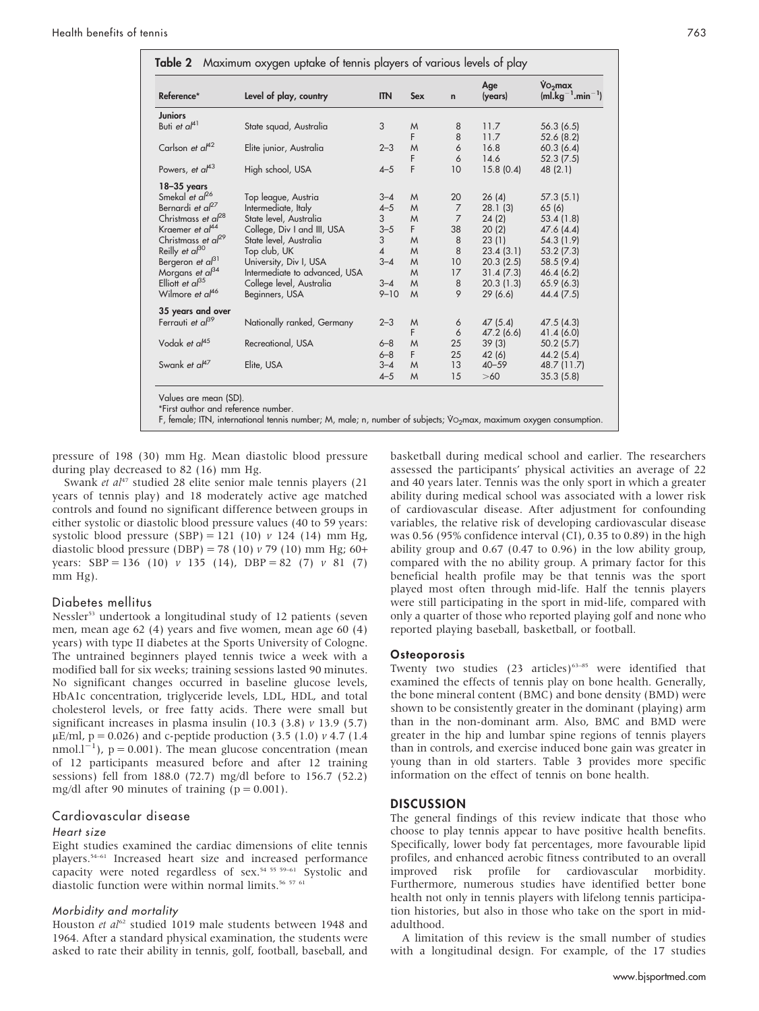| Reference*                                                     | Level of play, country                                  | <b>ITN</b>               | <b>Sex</b> | $\mathbf n$          | Age<br>(years)         | $\dot{V}$ o <sub>2</sub> max<br>$(ml.kg^{-1}.min^{-1})$ |
|----------------------------------------------------------------|---------------------------------------------------------|--------------------------|------------|----------------------|------------------------|---------------------------------------------------------|
| <b>Juniors</b>                                                 |                                                         |                          |            |                      |                        |                                                         |
| Buti et $a^{1}$                                                | State squad, Australia                                  | 3                        | M<br>F     | 8<br>8               | 11.7<br>11.7           | 56.3(6.5)<br>52.6 (8.2)                                 |
| Carlson et $a^{\mu_2}$                                         | Elite junior, Australia                                 | $2 - 3$                  | M<br>F     | 6<br>6               | 16.8<br>14.6           | 60.3(6.4)<br>52.3(7.5)                                  |
| Powers, et al <sup>43</sup>                                    | High school, USA                                        | $4 - 5$                  | F          | 10                   | 15.8(0.4)              | 48 (2.1)                                                |
| $18-35$ years<br>Smekal et $a^{26}$<br>Bernardi et a $l^{27}$  | Top league, Austria<br>Intermediate, Italy              | $3 - 4$<br>$4 - 5$       | M<br>M     | 20<br>$\overline{7}$ | 26(4)<br>28.1(3)       | 57.3(5.1)<br>65(6)                                      |
| Christmass et $a^{28}$<br>Kraemer et al <sup>44</sup>          | State level, Australia<br>College, Div I and III, USA   | 3<br>$3 - 5$<br>3        | M<br>F.    | $\overline{7}$<br>38 | 24(2)<br>20(2)         | 53.4(1.8)<br>47.6(4.4)                                  |
| Christmass et $a^{29}$<br>Reilly et al <sup>30</sup>           | State level, Australia<br>Top club, UK                  | $\overline{\mathcal{A}}$ | M<br>M     | 8<br>8               | 23(1)<br>23.4(3.1)     | 54.3 (1.9)<br>53.2(7.3)                                 |
| Bergeron et $a^{\beta}$ <sup>1</sup><br>Morgans et a $\beta^4$ | University, Div I, USA<br>Intermediate to advanced, USA | $3 - 4$                  | M<br>M     | 10<br>17             | 20.3(2.5)<br>31.4(7.3) | 58.5(9.4)<br>46.4(6.2)                                  |
| Elliott et $a^{35}$<br>Wilmore et al <sup>46</sup>             | College level, Australia<br>Beginners, USA              | $3 - 4$<br>$9 - 10$      | M<br>M     | 8<br>9               | 20.3(1.3)<br>29(6.6)   | 65.9(6.3)<br>44.4 (7.5)                                 |
| 35 years and over                                              |                                                         |                          |            |                      |                        |                                                         |
| Ferrauti et $a^{\beta}$ <sup>99</sup>                          | Nationally ranked, Germany                              | $2 - 3$                  | M<br>F     | 6<br>6               | 47(5.4)<br>47.2(6.6)   | 47.5(4.3)<br>41.4(6.0)                                  |
| Vodak et al <sup>45</sup>                                      | Recreational, USA                                       | $6 - 8$<br>$6 - 8$       | M<br>F     | 25<br>25             | 39(3)<br>42 (6)        | 50.2(5.7)<br>44.2(5.4)                                  |
| Swank et al <sup>47</sup>                                      | Elite, USA                                              | $3 - 4$<br>$4 - 5$       | M<br>M     | 13<br>15             | $40 - 59$<br>>60       | 48.7 (11.7)<br>35.3(5.8)                                |

F, female; ITN, international tennis number; M, male; n, number of subjects; Vo<sub>2</sub>max, maximum oxygen consumption.

pressure of 198 (30) mm Hg. Mean diastolic blood pressure during play decreased to 82 (16) mm Hg.

Swank et  $a_1^{47}$  studied 28 elite senior male tennis players (21) years of tennis play) and 18 moderately active age matched controls and found no significant difference between groups in either systolic or diastolic blood pressure values (40 to 59 years: systolic blood pressure (SBP) = 121 (10)  $\nu$  124 (14) mm Hg, diastolic blood pressure (DBP) = 78 (10)  $\nu$  79 (10) mm Hg; 60+ years:  $SBP = 136 (10) v 135 (14)$ ,  $DBP = 82 (7) v 81 (7)$ mm Hg).

## Diabetes mellitus

Nessler<sup>53</sup> undertook a longitudinal study of 12 patients (seven men, mean age 62 (4) years and five women, mean age 60 (4) years) with type II diabetes at the Sports University of Cologne. The untrained beginners played tennis twice a week with a modified ball for six weeks; training sessions lasted 90 minutes. No significant changes occurred in baseline glucose levels, HbA1c concentration, triglyceride levels, LDL, HDL, and total cholesterol levels, or free fatty acids. There were small but significant increases in plasma insulin (10.3 (3.8)  $v$  13.9 (5.7)  $\mu$ E/ml, p = 0.026) and c-peptide production (3.5 (1.0) v 4.7 (1.4)  $\text{mmol.}1^{-1}$ ),  $p = 0.001$ ). The mean glucose concentration (mean of 12 participants measured before and after 12 training sessions) fell from 188.0 (72.7) mg/dl before to 156.7 (52.2) mg/dl after 90 minutes of training ( $p = 0.001$ ).

## Cardiovascular disease

#### Heart size

Eight studies examined the cardiac dimensions of elite tennis players.54–61 Increased heart size and increased performance capacity were noted regardless of sex.54 55 59–61 Systolic and diastolic function were within normal limits.<sup>56 57 61</sup>

## Morbidity and mortality

Houston et  $al^{62}$  studied 1019 male students between 1948 and 1964. After a standard physical examination, the students were asked to rate their ability in tennis, golf, football, baseball, and basketball during medical school and earlier. The researchers assessed the participants' physical activities an average of 22 and 40 years later. Tennis was the only sport in which a greater ability during medical school was associated with a lower risk of cardiovascular disease. After adjustment for confounding variables, the relative risk of developing cardiovascular disease was 0.56 (95% confidence interval (CI), 0.35 to 0.89) in the high ability group and 0.67 (0.47 to 0.96) in the low ability group, compared with the no ability group. A primary factor for this beneficial health profile may be that tennis was the sport played most often through mid-life. Half the tennis players were still participating in the sport in mid-life, compared with only a quarter of those who reported playing golf and none who reported playing baseball, basketball, or football.

#### **Osteoporosis**

Twenty two studies  $(23 \text{ articles})^{63-85}$  were identified that examined the effects of tennis play on bone health. Generally, the bone mineral content (BMC) and bone density (BMD) were shown to be consistently greater in the dominant (playing) arm than in the non-dominant arm. Also, BMC and BMD were greater in the hip and lumbar spine regions of tennis players than in controls, and exercise induced bone gain was greater in young than in old starters. Table 3 provides more specific information on the effect of tennis on bone health.

## **DISCUSSION**

The general findings of this review indicate that those who choose to play tennis appear to have positive health benefits. Specifically, lower body fat percentages, more favourable lipid profiles, and enhanced aerobic fitness contributed to an overall improved risk profile for cardiovascular morbidity. Furthermore, numerous studies have identified better bone health not only in tennis players with lifelong tennis participation histories, but also in those who take on the sport in midadulthood.

A limitation of this review is the small number of studies with a longitudinal design. For example, of the 17 studies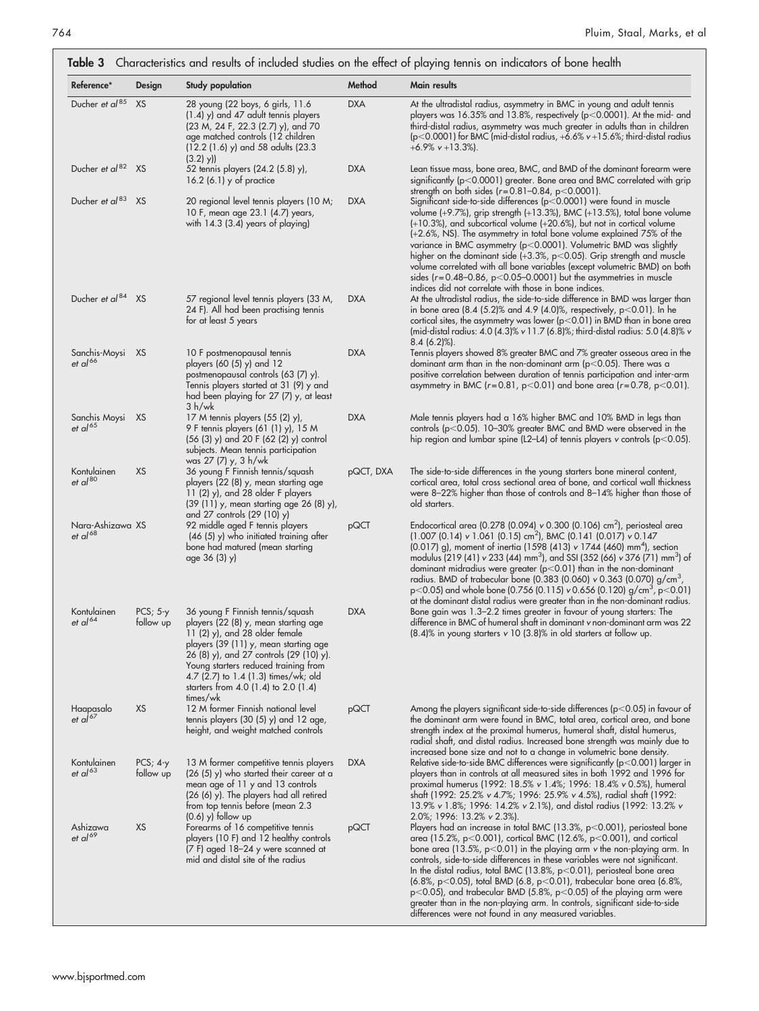| Reference*                              | Design                   | Study population                                                                                                                                                                                                                                                                                                                         | Method     | Main results                                                                                                                                                                                                                                                                                                                                                                                                                                                                                                                                                                                                                                                                             |
|-----------------------------------------|--------------------------|------------------------------------------------------------------------------------------------------------------------------------------------------------------------------------------------------------------------------------------------------------------------------------------------------------------------------------------|------------|------------------------------------------------------------------------------------------------------------------------------------------------------------------------------------------------------------------------------------------------------------------------------------------------------------------------------------------------------------------------------------------------------------------------------------------------------------------------------------------------------------------------------------------------------------------------------------------------------------------------------------------------------------------------------------------|
| Ducher et al 85                         | <b>XS</b>                | 28 young (22 boys, 6 girls, 11.6<br>$(1.4)$ y) and 47 adult tennis players<br>(23 M, 24 F, 22.3 (2.7) y), and 70<br>age matched controls (12 children<br>$(12.2 (1.6) y)$ and 58 adults $(23.3)$<br>$(3.2)$ y)                                                                                                                           | <b>DXA</b> | At the ultradistal radius, asymmetry in BMC in young and adult tennis<br>players was 16.35% and 13.8%, respectively ( $p$ < 0.0001). At the mid- and<br>third-distal radius, asymmetry was much greater in adults than in children<br>( $p<0.0001$ ) for BMC (mid-distal radius, $+6.6\%$ v $+15.6\%$ ; third-distal radius<br>$+6.9\%$ v $+13.3\%$ ).                                                                                                                                                                                                                                                                                                                                   |
| Ducher et al <sup>82</sup> XS           |                          | 52 tennis players (24.2 (5.8) y),<br>16.2 $(6.1)$ y of practice                                                                                                                                                                                                                                                                          | <b>DXA</b> | Lean tissue mass, bone area, BMC, and BMD of the dominant forearm were<br>significantly (p<0.0001) greater. Bone area and BMC correlated with grip<br>strength on both sides ( $r = 0.81 - 0.84$ , $p < 0.0001$ ).                                                                                                                                                                                                                                                                                                                                                                                                                                                                       |
| Ducher et al <sup>83</sup> XS           |                          | 20 regional level tennis players (10 M;<br>10 F, mean age 23.1 (4.7) years,<br>with $14.3$ (3.4) years of playing)                                                                                                                                                                                                                       | <b>DXA</b> | Significant side-to-side differences ( $p < 0.0001$ ) were found in muscle<br>volume (+9.7%), grip strength (+13.3%), BMC (+13.5%), total bone volume<br>$(+10.3%)$ , and subcortical volume $(+20.6%)$ , but not in cortical volume<br>(+2.6%, NS). The asymmetry in total bone volume explained 75% of the<br>variance in BMC asymmetry (p<0.0001). Volumetric BMD was slightly<br>higher on the dominant side $(+3.3\% , p<0.05)$ . Grip strength and muscle<br>volume correlated with all bone variables (except volumetric BMD) on both<br>sides ( $r = 0.48 - 0.86$ , $p < 0.05 - 0.0001$ ) but the asymmetries in muscle<br>indices did not correlate with those in bone indices. |
| Ducher et al <sup>84</sup> XS           |                          | 57 regional level tennis players (33 M,<br>24 F). All had been practising tennis<br>for at least 5 years                                                                                                                                                                                                                                 | <b>DXA</b> | At the ultradistal radius, the side-to-side difference in BMD was larger than<br>in bone area (8.4 (5.2)% and 4.9 (4.0)%, respectively, $p<0.01$ ). In he<br>cortical sites, the asymmetry was lower ( $p<0.01$ ) in BMD than in bone area<br>(mid-distal radius: 4.0 (4.3)% v 11.7 (6.8)%; third-distal radius: 5.0 (4.8)% v<br>$8.4(6.2)\%$ ).                                                                                                                                                                                                                                                                                                                                         |
| Sanchis-Moysi XS<br>et al <sup>66</sup> |                          | 10 F postmenopausal tennis<br>players (60 (5) y) and 12<br>postmenopausal controls (63 (7) y).<br>Tennis players started at 31 (9) y and<br>had been playing for 27 (7) y, at least<br>3 h/wk                                                                                                                                            | <b>DXA</b> | Tennis players showed 8% greater BMC and 7% greater osseous area in the<br>dominant arm than in the non-dominant arm ( $p$ <0.05). There was a<br>positive correlation between duration of tennis participation and inter-arm<br>asymmetry in BMC (r=0.81, $p<0.01$ ) and bone area (r=0.78, $p<0.01$ ).                                                                                                                                                                                                                                                                                                                                                                                 |
| Sanchis Moysi XS<br>et al $65$          |                          | 17 M tennis players (55 (2) y),<br>9 F tennis players (61 (1) y), 15 M<br>(56 (3) y) and 20 F (62 (2) y) control<br>subjects. Mean tennis participation<br>was 27 (7) y, 3 h/wk                                                                                                                                                          | <b>DXA</b> | Male tennis players had a 16% higher BMC and 10% BMD in legs than<br>controls (p<0.05). 10-30% greater BMC and BMD were observed in the<br>hip region and lumbar spine (L2-L4) of tennis players v controls (p<0.05).                                                                                                                                                                                                                                                                                                                                                                                                                                                                    |
| Kontulainen<br>et al $80$               | <b>XS</b>                | 36 young F Finnish tennis/squash<br>players (22 (8) y, mean starting age<br>11 $(2)$ y), and 28 older F players<br>$(39 (11)$ y, mean starting age 26 $(8)$ y),<br>and 27 controls (29 (10) y)                                                                                                                                           | pQCT, DXA  | The side-to-side differences in the young starters bone mineral content,<br>cortical area, total cross sectional area of bone, and cortical wall thickness<br>were 8–22% higher than those of controls and 8–14% higher than those of<br>old starters.                                                                                                                                                                                                                                                                                                                                                                                                                                   |
| Nara-Ashizawa XS<br>et al <sup>68</sup> |                          | 92 middle aged F tennis players<br>(46 (5) y) who initiated training after<br>bone had matured (mean starting<br>age 36 (3) y)                                                                                                                                                                                                           | pQCT       | Endocortical area (0.278 (0.094) $v$ 0.300 (0.106) cm <sup>2</sup> ), periosteal area<br>$(1.007 (0.14) v 1.061 (0.15) cm2)$ , BMC $(0.141 (0.017) v 0.147)$<br>$(0.017)$ g), moment of inertia (1598 (413) v 1744 (460) mm <sup>4</sup> ), section<br>modulus (219 (41) v 233 (44) mm <sup>3</sup> ), and SSI (352 (66) v 376 (71) mm <sup>3</sup> ) of<br>dominant midradius were greater ( $p$ <0.01) than in the non-dominant<br>radius. BMD of trabecular bone (0.383 (0.060) v 0.363 (0.070) g/cm <sup>3</sup><br>p<0.05) and whole bone (0.756 (0.115) v 0.656 (0.120) g/cm <sup>3</sup> , p<0.01)<br>at the dominant distal radius were greater than in the non-dominant radius. |
| Kontulainen<br>et al $64$               | $PCS; 5-y$<br>follow up  | 36 young F Finnish tennis/squash<br>players (22 (8) y, mean starting age<br>11 $(2)$ y), and 28 older female<br>players (39 (11) y, mean starting age<br>26 (8) y), and 27 controls (29 (10) y).<br>Young starters reduced training from<br>4.7 (2.7) to 1.4 (1.3) times/wk; old<br>starters from $4.0$ (1.4) to $2.0$ (1.4)<br>times/wk | <b>DXA</b> | Bone gain was 1.3-2.2 times greater in favour of young starters: The<br>difference in BMC of humeral shaft in dominant v non-dominant arm was 22<br>$(8.4)\%$ in young starters v 10 (3.8)% in old starters at follow up.                                                                                                                                                                                                                                                                                                                                                                                                                                                                |
| Haapasalo<br>et al <sup>67</sup>        | XS                       | 12 M former Finnish national level<br>tennis players $(30 (5) y)$ and 12 age,<br>height, and weight matched controls                                                                                                                                                                                                                     | pQCT       | Among the players significant side-to-side differences ( $p<0.05$ ) in favour of<br>the dominant arm were found in BMC, total area, cortical area, and bone<br>strength index at the proximal humerus, humeral shaft, distal humerus,<br>radial shaft, and distal radius. Increased bone strength was mainly due to<br>increased bone size and not to a change in volumetric bone density.                                                                                                                                                                                                                                                                                               |
| Kontulainen<br>et al $63$               | $PCS$ ; 4-y<br>tollow up | 13 M former competitive tennis players<br>$(26 (5)$ y) who started their career at a<br>mean age of 11 y and 13 controls<br>(26 (6) y). The players had all retired<br>from top tennis before (mean 2.3<br>$(0.6)$ y) follow up                                                                                                          | <b>DXA</b> | Relative side-to-side BMC differences were significantly ( $p<0.001$ ) larger in<br>players than in controls at all measured sites in both 1992 and 1996 for<br>proximal humerus (1992: 18.5% v 1.4%; 1996: 18.4% v 0.5%), humeral<br>shaft (1992: 25.2% v 4.7%; 1996: 25.9% v 4.5%), radial shaft (1992:<br>13.9% v 1.8%; 1996: 14.2% v 2.1%), and distal radius (1992: 13.2% v<br>$2.0\%$ ; 1996: 13.2% v 2.3%).                                                                                                                                                                                                                                                                       |
| Ashizawa<br>et al $69$                  | <b>XS</b>                | Forearms of 16 competitive tennis<br>players (10 F) and 12 healthy controls<br>(7 F) aged 18-24 y were scanned at<br>mid and distal site of the radius                                                                                                                                                                                   | pQCT       | Players had an increase in total BMC (13.3%, p<0.001), periosteal bone<br>area (15.2%, p<0.001), cortical BMC (12.6%, p<0.001), and cortical<br>bone area (13.5%, $p<0.01$ ) in the playing arm $v$ the non-playing arm. In<br>controls, side-to-side differences in these variables were not significant.<br>In the distal radius, total BMC (13.8%, $p<0.01$ ), periosteal bone area<br>$(6.8\% , p<0.05)$ , total BMD $(6.8, p<0.01)$ , trabecular bone area (6.8%,<br>$p$ < 0.05), and trabecular BMD (5.8%, $p$ < 0.05) of the playing arm were<br>greater than in the non-playing arm. In controls, significant side-to-side                                                       |

differences were not found in any measured variables.

Table 3 Characteristics and results of included studies on the effect of playing tennis on indicators of bone health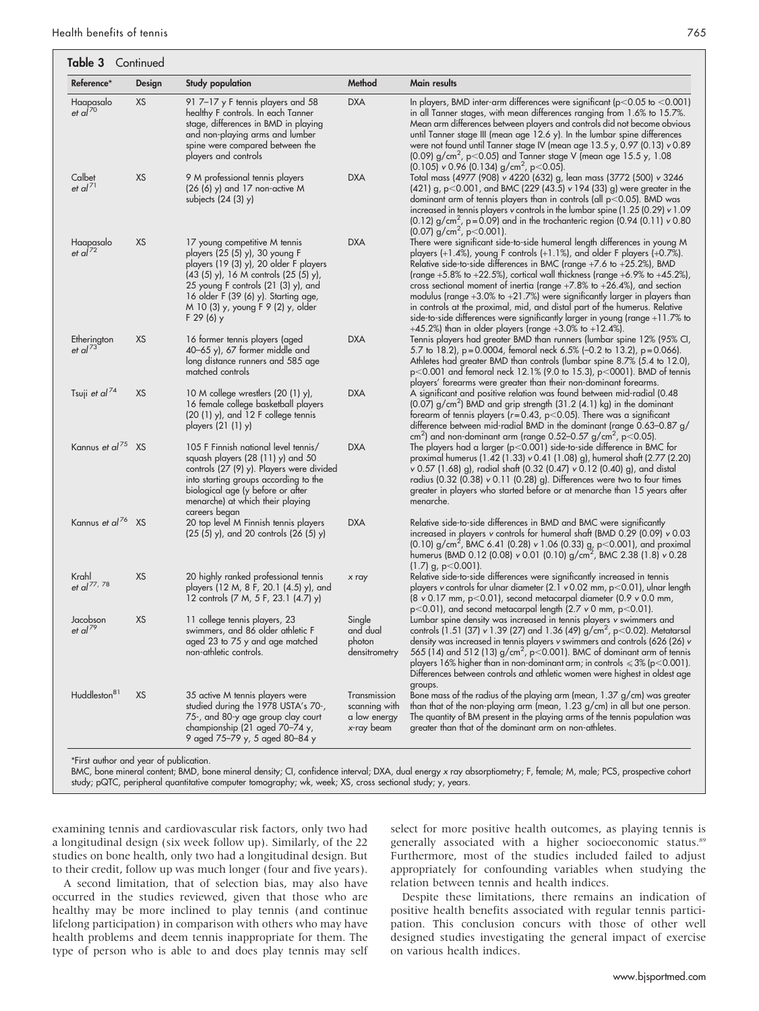| Reference*                         | Design    | Study population                                                                                                                                                                                                                                                                         | Method                                                      | Main results                                                                                                                                                                                                                                                                                                                                                                                                                                                                                                                                                                                                                                                                                                                    |
|------------------------------------|-----------|------------------------------------------------------------------------------------------------------------------------------------------------------------------------------------------------------------------------------------------------------------------------------------------|-------------------------------------------------------------|---------------------------------------------------------------------------------------------------------------------------------------------------------------------------------------------------------------------------------------------------------------------------------------------------------------------------------------------------------------------------------------------------------------------------------------------------------------------------------------------------------------------------------------------------------------------------------------------------------------------------------------------------------------------------------------------------------------------------------|
| Haapasalo<br>$et$ al <sup>70</sup> | XS        | 91 7–17 y F tennis players and 58<br>healthy F controls. In each Tanner<br>stage, differences in BMD in playing<br>and non-playing arms and lumber<br>spine were compared between the<br>players and controls                                                                            | <b>DXA</b>                                                  | In players, BMD inter-arm differences were significant ( $p<0.05$ to $<0.001$ )<br>in all Tanner stages, with mean differences ranging from 1.6% to 15.7%.<br>Mean arm differences between players and controls did not become obvious<br>until Tanner stage III (mean age 12.6 y). In the lumbar spine differences<br>were not found until Tanner stage IV (mean age 13.5 y, 0.97 (0.13) v 0.89<br>$(0.09)$ g/cm <sup>2</sup> , p<0.05) and Tanner stage V (mean age 15.5 y, 1.08<br>$(0.105)$ v 0.96 $(0.134)$ g/cm <sup>2</sup> , p < 0.05).                                                                                                                                                                                 |
| Calbet<br>et al <sup>71</sup>      | XS        | 9 M protessional tennis players<br>$(26 (6) y)$ and 17 non-active M<br>subjects $(24 (3) y)$                                                                                                                                                                                             | <b>DXA</b>                                                  | Total mass (4977 (908) v 4220 (632) g, lean mass (3772 (500) v 3246<br>$(421)$ g, p<0.001, and BMC (229 (43.5) v 194 (33) g) were greater in the<br>dominant arm of tennis players than in controls (all $p<$ 0.05). BMD was<br>increased in tennis players v controls in the lumbar spine $(1.25(0.29)$ v 1.09<br>$(0.12)$ g/cm <sup>2</sup> , p = 0.09) and in the trochanteric region $(0.94 (0.11) \times 0.80)$<br>$(0.07)$ g/cm <sup>2</sup> , p < 0.001).                                                                                                                                                                                                                                                                |
| Haapasalo<br>et al <sup>72</sup>   | XS        | 17 young competitive M tennis<br>players (25 (5) y), 30 young F<br>players (19 (3) y), 20 older F players<br>(43 (5) y), 16 M controls (25 (5) y),<br>25 young F controls (21 (3) y), and<br>16 older F $(39 (6) y)$ . Starting age,<br>M 10 (3) y, young F 9 (2) y, older<br>F 29 (6) y | <b>DXA</b>                                                  | There were significant side-to-side humeral length differences in young M<br>players (+1.4%), young F controls (+1.1%), and older F players (+0.7%).<br>Relative side-to-side ditterences in BMC (range +7.6 to +25.2%), BMD<br>(range $+5.8\%$ to $+22.5\%$ ), cortical wall thickness (range $+6.9\%$ to $+45.2\%$ ),<br>cross sectional moment of inertia (range $+7.8\%$ to $+26.4\%$ ), and section<br>modulus (range $+3.0\%$ to $+21.7\%$ ) were signiticantly larger in players than<br>in controls at the proximal, mid, and distal part of the humerus. Relative<br>side-to-side differences were significantly larger in young (range +11.7% to<br>$+45.2\%$ ) than in older players (range $+3.0\%$ to $+12.4\%$ ). |
| Etherington<br>et al <sup>73</sup> | <b>XS</b> | 16 former tennis players (aged<br>40-65 y), 67 former middle and<br>long distance runners and 585 age<br>matched controls                                                                                                                                                                | <b>DXA</b>                                                  | Tennis players had greater BMD than runners (lumbar spine 12% (95% CI,<br>5.7 to 18.2), p=0.0004, femoral neck 6.5% (-0.2 to 13.2), p=0.066).<br>Athletes had greater BMD than controls (lumbar spine 8.7% (5.4 to 12.0),<br>$p<0.001$ and femoral neck 12.1% (9.0 to 15.3), $p<0001$ ). BMD of tennis<br>players' forearms were greater than their non-dominant forearms.                                                                                                                                                                                                                                                                                                                                                      |
| Tsuji et al <sup>74</sup>          | <b>XS</b> | 10 M college wrestlers (20 (1) y),<br>16 temale college basketball players<br>$(20 (1) y)$ , and 12 F college tennis<br>players (21 (1) y)                                                                                                                                               | <b>DXA</b>                                                  | A signiticant and positive relation was tound between mid-radial (0.48<br>$(0.07)$ g/cm <sup>2</sup> ) BMD and grip strength $(31.2 (4.1)$ kg) in the dominant<br>forearm of tennis players ( $r = 0.43$ , $p < 0.05$ ). There was a significant<br>difference between mid-radial BMD in the dominant (range 0.63–0.87 g/<br>cm <sup>2</sup> ) and non-dominant arm (range $0.52-0.57$ g/cm <sup>2</sup> , p<0.05).                                                                                                                                                                                                                                                                                                             |
| Kannus et al <sup>75</sup> XS      |           | 105 F Finnish national level tennis/<br>squash players (28 (11) y) and 50<br>controls (27 (9) y). Players were divided<br>into starting groups according to the<br>biological age (y before or after<br>menarche) at which their playing<br>careers began                                | <b>DXA</b>                                                  | The players had a larger ( $p < 0.001$ ) side-to-side difference in BMC for<br>proximal humerus (1.42 (1.33) v 0.41 (1.08) g), humeral shaft (2.77 (2.20)<br>v 0.57 (1.68) g), radial shaft (0.32 (0.47) v 0.12 (0.40) g), and distal<br>radius (0.32 (0.38) $v$ 0.11 (0.28) g). Differences were two to four times<br>greater in players who started before or at menarche than 15 years after<br>menarche.                                                                                                                                                                                                                                                                                                                    |
| Kannus et al <sup>76</sup> XS      |           | 20 top level M Finnish tennis players<br>$(25 (5) y)$ , and 20 controls $(26 (5) y)$                                                                                                                                                                                                     | <b>DXA</b>                                                  | Relative side-to-side differences in BMD and BMC were significantly<br>increased in players v controls for humeral shaft (BMD 0.29 (0.09) v 0.03<br>$(0.10)$ g/cm <sup>2</sup> , BMC 6.41 (0.28) v 1.06 (0.33) g <sub>x</sub> p < 0.001), and proximal<br>humerus (BMD 0.12 (0.08) v 0.01 (0.10) $g/cm^2$ , BMC 2.38 (1.8) v 0.28<br>$(1.7)$ g, p < 0.001).                                                                                                                                                                                                                                                                                                                                                                     |
| Krahl<br>et al <sup>77,78</sup>    | XS        | 20 highly ranked professional tennis<br>players (12 M, 8 F, 20.1 (4.5) y), and<br>12 controls (7 M, 5 F, 23.1 (4.7) y)                                                                                                                                                                   | $x$ ray                                                     | Relative side-to-side differences were significantly increased in tennis<br>players v controls for ulnar diameter (2.1 v 0.02 mm, p $<$ 0.01), ulnar length<br>$(8 \times 0.17 \text{ mm}, \text{p} < 0.01)$ , second metacarpal diameter $(0.9 \times 0.0 \text{ mm})$<br>$p<0.01$ , and second metacarpal length (2.7 v 0 mm, $p<0.01$ ).                                                                                                                                                                                                                                                                                                                                                                                     |
| Jacobson<br>et al <sup>79</sup>    | <b>XS</b> | 11 college tennis players, 23<br>swimmers, and 86 older athletic F<br>aged 23 to 75 y and age matched<br>non-athletic controls.                                                                                                                                                          | Single<br>and dual<br>photon<br>densitrometry               | Lumbar spine density was increased in tennis players v swimmers and<br>controls (1.51 (37) $\check{\nu}$ 1.39 (27) and 1.36 (49) g/cm <sup>2</sup> , p<0.02). Metatarsal<br>density was increased in tennis players v swimmers and controls (626 (26) v<br>565 (14) and 512 (13) $g/cm^2$ , p<0.001). BMC of dominant arm of tennis<br>players 16% higher than in non-dominant arm; in controls $\leq 3\%$ (p $\leq 0.001$ ).<br>Differences between controls and athletic women were highest in oldest age<br>groups.                                                                                                                                                                                                          |
| Huddleston <sup>81</sup>           | <b>XS</b> | 35 active M tennis players were<br>studied during the 1978 USTA's 70-,<br>75-, and 80-y age group clay court<br>championship (21 aged 70-74 y,<br>9 aged 75-79 y, 5 aged 80-84 y                                                                                                         | Transmission<br>scanning with<br>a low energy<br>x-ray beam | Bone mass of the radius of the playing arm (mean, 1.37 g/cm) was greater<br>than that of the non-playing arm (mean, $1.23$ g/cm) in all but one person.<br>The quantity of BM present in the playing arms of the tennis population was<br>greater than that of the dominant arm on non-athletes.                                                                                                                                                                                                                                                                                                                                                                                                                                |

\*First author and year of publication.

BMC, bone mineral content; BMD, bone mineral density; CI, confidence interval; DXA, dual energy x ray absorptiometry; F, female; M, male; PCS, prospective cohort study; pQTC, peripheral quantitative computer tomography; wk, week; XS, cross sectional study; y, years.

examining tennis and cardiovascular risk factors, only two had a longitudinal design (six week follow up). Similarly, of the 22 studies on bone health, only two had a longitudinal design. But to their credit, follow up was much longer (four and five years).

A second limitation, that of selection bias, may also have occurred in the studies reviewed, given that those who are healthy may be more inclined to play tennis (and continue lifelong participation) in comparison with others who may have health problems and deem tennis inappropriate for them. The type of person who is able to and does play tennis may self select for more positive health outcomes, as playing tennis is generally associated with a higher socioeconomic status.<sup>89</sup> Furthermore, most of the studies included failed to adjust appropriately for confounding variables when studying the relation between tennis and health indices.

Despite these limitations, there remains an indication of positive health benefits associated with regular tennis participation. This conclusion concurs with those of other well designed studies investigating the general impact of exercise on various health indices.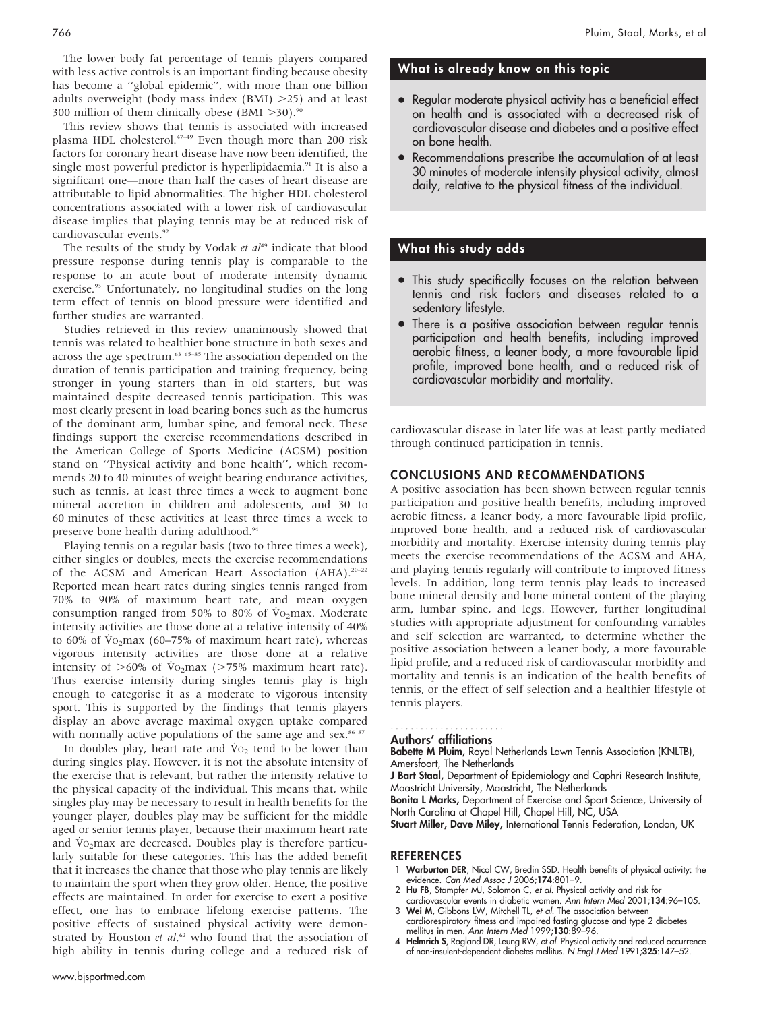The lower body fat percentage of tennis players compared with less active controls is an important finding because obesity has become a ''global epidemic'', with more than one billion adults overweight (body mass index  $(BMI)$  >25) and at least 300 million of them clinically obese (BMI  $>$  30).<sup>90</sup>

This review shows that tennis is associated with increased plasma HDL cholesterol.<sup>47-49</sup> Even though more than 200 risk factors for coronary heart disease have now been identified, the single most powerful predictor is hyperlipidaemia.<sup>91</sup> It is also a significant one—more than half the cases of heart disease are attributable to lipid abnormalities. The higher HDL cholesterol concentrations associated with a lower risk of cardiovascular disease implies that playing tennis may be at reduced risk of cardiovascular events.<sup>92</sup>

The results of the study by Vodak et  $al<sup>49</sup>$  indicate that blood pressure response during tennis play is comparable to the response to an acute bout of moderate intensity dynamic exercise.<sup>93</sup> Unfortunately, no longitudinal studies on the long term effect of tennis on blood pressure were identified and further studies are warranted.

Studies retrieved in this review unanimously showed that tennis was related to healthier bone structure in both sexes and across the age spectrum.<sup>63 65–85</sup> The association depended on the duration of tennis participation and training frequency, being stronger in young starters than in old starters, but was maintained despite decreased tennis participation. This was most clearly present in load bearing bones such as the humerus of the dominant arm, lumbar spine, and femoral neck. These findings support the exercise recommendations described in the American College of Sports Medicine (ACSM) position stand on ''Physical activity and bone health'', which recommends 20 to 40 minutes of weight bearing endurance activities, such as tennis, at least three times a week to augment bone mineral accretion in children and adolescents, and 30 to 60 minutes of these activities at least three times a week to preserve bone health during adulthood.<sup>94</sup>

Playing tennis on a regular basis (two to three times a week), either singles or doubles, meets the exercise recommendations of the ACSM and American Heart Association (AHA).<sup>20-22</sup> Reported mean heart rates during singles tennis ranged from 70% to 90% of maximum heart rate, and mean oxygen consumption ranged from 50% to 80% of  $\dot{V}$ <sub>2</sub>max. Moderate intensity activities are those done at a relative intensity of 40% to 60% of  $\dot{V}$ <sub>2</sub>max (60–75% of maximum heart rate), whereas vigorous intensity activities are those done at a relative intensity of  $>60\%$  of  $\overline{V}o_2$  maximum heart rate). Thus exercise intensity during singles tennis play is high enough to categorise it as a moderate to vigorous intensity sport. This is supported by the findings that tennis players display an above average maximal oxygen uptake compared with normally active populations of the same age and sex.<sup>86 87</sup>

In doubles play, heart rate and  $\dot{V}$ <sub>O2</sub> tend to be lower than during singles play. However, it is not the absolute intensity of the exercise that is relevant, but rather the intensity relative to the physical capacity of the individual. This means that, while singles play may be necessary to result in health benefits for the younger player, doubles play may be sufficient for the middle aged or senior tennis player, because their maximum heart rate and  $\dot{V}o_2$  max are decreased. Doubles play is therefore particularly suitable for these categories. This has the added benefit that it increases the chance that those who play tennis are likely to maintain the sport when they grow older. Hence, the positive effects are maintained. In order for exercise to exert a positive effect, one has to embrace lifelong exercise patterns. The positive effects of sustained physical activity were demonstrated by Houston et al,<sup>62</sup> who found that the association of high ability in tennis during college and a reduced risk of

## What is already know on this topic

- Regular moderate physical activity has a beneficial effect on health and is associated with a decreased risk of cardiovascular disease and diabetes and a positive effect on bone health.
- Recommendations prescribe the accumulation of at least 30 minutes of moderate intensity physical activity, almost daily, relative to the physical fitness of the individual.

# What this study adds

- This study specifically focuses on the relation between tennis and risk factors and diseases related to a sedentary lifestyle.
- There is a positive association between regular tennis participation and health benefits, including improved aerobic fitness, a leaner body, a more favourable lipid profile, improved bone health, and a reduced risk of cardiovascular morbidity and mortality.

cardiovascular disease in later life was at least partly mediated through continued participation in tennis.

## CONCLUSIONS AND RECOMMENDATIONS

A positive association has been shown between regular tennis participation and positive health benefits, including improved aerobic fitness, a leaner body, a more favourable lipid profile, improved bone health, and a reduced risk of cardiovascular morbidity and mortality. Exercise intensity during tennis play meets the exercise recommendations of the ACSM and AHA, and playing tennis regularly will contribute to improved fitness levels. In addition, long term tennis play leads to increased bone mineral density and bone mineral content of the playing arm, lumbar spine, and legs. However, further longitudinal studies with appropriate adjustment for confounding variables and self selection are warranted, to determine whether the positive association between a leaner body, a more favourable lipid profile, and a reduced risk of cardiovascular morbidity and mortality and tennis is an indication of the health benefits of tennis, or the effect of self selection and a healthier lifestyle of tennis players.

#### Authors' affiliations .......................

Babette M Pluim, Royal Netherlands Lawn Tennis Association (KNLTB), Amersfoort, The Netherlands

J Bart Staal, Department of Epidemiology and Caphri Research Institute, Maastricht University, Maastricht, The Netherlands Bonita L Marks, Department of Exercise and Sport Science, University of

North Carolina at Chapel Hill, Chapel Hill, NC, USA

Stuart Miller, Dave Miley, International Tennis Federation, London, UK

## **REFERENCES**

- 1 Warburton DER, Nicol CW, Bredin SSD. Health benefits of physical activity: the evidence. Can Med Assoc J 2006;174:801–9.
- 2 Hu FB, Stampfer MJ, Solomon C, et al. Physical activity and risk for cardiovascular events in diabetic women. Ann Intern Med 2001;134:96–105.
- 3 Wei M, Gibbons LW, Mitchell TL, *et al.* The association between<br>cardiorespiratory fitness and impaired fasting glucose and type 2 diabetes<br>mellitus in men. *Ann Intern Med* 1999;1**30**:89–96.
- 4 Helmrich S, Ragland DR, Leung RW, et al. Physical activity and reduced occurrence of non-insulent-dependent diabetes mellitus. N Engl J Med 1991;325:147–52.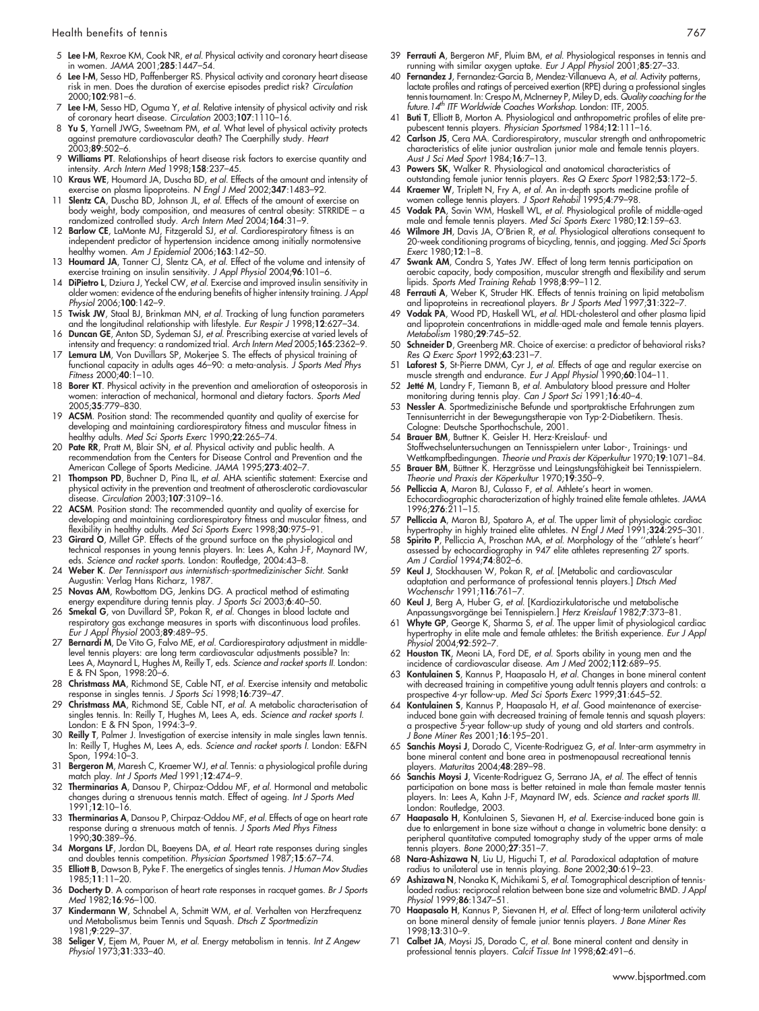#### Health benefits of tennis 767

- 5 Lee I-M, Rexroe KM, Cook NR, et al. Physical activity and coronary heart disease in women. JAMA 2001;285:1447–54.
- 6 Lee I-M, Sesso HD, Paffenberger RS. Physical activity and coronary heart disease risk in men. Does the duration of exercise episodes predict risk? Circulation 2000;102:981–6.
- 7 Lee I-M, Sesso HD, Oguma Y, et al. Relative intensity of physical activity and risk of coronary heart disease. Circulation 2003;107:1110–16.
- 8 Yu S, Yarnell JWG, Sweetnam PM, et al. What level of physical activity protects against premature cardiovascular death? The Caerphilly study. Heart 2003;89:502–6.
- 9 Williams PT. Relationships of heart disease risk factors to exercise quantity and intensity. Arch Intern Med 1998;158:237–45.
- 10 Kraus WE, Houmard JA, Duscha BD, et al. Effects of the amount and intensity of exercise on plasma lipoproteins. N Engl J Med 2002;347:1483–92.
- 11 Slentz CA, Duscha BD, Johnson JL, et al. Effects of the amount of exercise on body weight, body composition, and measures of central obesity: STRRIDE – a randomized controlled study. Arch Intern Med 2004;164:31–9.
- 12 Barlow CE, LaMonte MJ, Fitzgerald SJ, et al. Cardiorespiratory fitness is an independent predictor of hypertension incidence among initially normotensive healthy women. Am J Epidemiol 2006;163:142-50.
- 13 Houmard JA, Tanner CJ, Slentz CA, et al. Effect of the volume and intensity of exercise training on insulin sensitivity. J Appl Physiol 2004;96:101-6.
- 14 DiPietro L, Dziura J, Yeckel CW, et al. Exercise and improved insulin sensitivity in older women: evidence of the enduring benefits of higher intensity training. J Appl Physiol 2006;100:142–9.
- 15 Twisk JW, Staal BJ, Brinkman MN, et al. Tracking of lung function parameters and the longitudinal relationship with lifestyle. Eur Respir J 1998;12:627–34.
- 16 Duncan GE, Anton SD, Sydeman SJ, et al. Prescribing exercise at varied levels of intensity and frequency: a randomized trial. Arch Intern Med 2005;165:2362–9.
- 17 Lemura LM, Von Duvillars SP, Mokerjee S. The effects of physical training of functional capacity in adults ages 46–90: a meta-analysis. J Sports Med Phys Fitness 2000;40:1–10.
- 18 Borer KT. Physical activity in the prevention and amelioration of osteoporosis in women: interaction of mechanical, hormonal and dietary factors. Sports Med 2005;35:779–830.
- 19 ACSM. Position stand: The recommended quantity and quality of exercise for developing and maintaining cardiorespiratory fitness and muscular fitness in healthy adults. Med Sci Sports Exerc 1990;22:265–74.
- 20 Pate RR, Pratt M, Blair SN, et al. Physical activity and public health. A recommendation from the Centers for Disease Control and Prevention and the American College of Sports Medicine. JAMA 1995;273:402-7
- 21 Thompson PD, Buchner D, Pina IL, et al. AHA scientific statement: Exercise and physical activity in the prevention and treatment of atherosclerotic cardiovascular disease. Circulation 2003;107:3109–16.
- 22 ACSM. Position stand: The recommended quantity and quality of exercise for developing and maintaining cardiorespiratory titness and muscular titness, and<br>flexibility in healthy adults. Med Sci Sports Exerc 1998;**30**:975–91.
- 23 Girard O, Millet GP. Effects of the ground surface on the physiological and technical responses in young tennis players. In: Lees A, Kahn J-F, Maynard IW,<br>eds. *Science and racket sports*. London: Routledge, 2004:43–8.
- 24 Weber K. Der Tennissport aus internistisch-sportmedizinischer Sicht. Sankt Augustin: Verlag Hans Richarz, 1987.
- 25 Novas AM, Rowbottom DG, Jenkins DG. A practical method of estimating energy expenditure during tennis play. J Sports Sci 2003;6:40–50.
- 26 Smekal G, von Duvillard SP, Pokan R, et al. Changes in blood lactate and respiratory gas exchange measures in sports with discontinuous load profiles. Eur J Appl Physiol 2003;89:489–95.
- 27 Bernardi M, De Vito G, Falvo ME, et al. Cardiorespiratory adjustment in middlelevel tennis players: are long term cardiovascular adjustments possible? In: Lees A, Maynard L, Hughes M, Reilly T, eds. Science and racket sports II. London: E & FN Spon, 1998:20–6.
- 28 Christmass MA, Richmond SE, Cable NT, et al. Exercise intensity and metabolic response in singles tennis. J Sports Sci 1998;16:739–47.
- 29 Christmass MA, Richmond SE, Cable NT, et al. A metabolic characterisation of singles tennis. In: Reilly T, Hughes M, Lees A, eds. Science and racket sports I. London: E & FN Spon, 1994:3-9.
- 30 Reilly T, Palmer J. Investigation of exercise intensity in male singles lawn tennis. In: Reilly T, Hughes M, Lees A, eds. Science and racket sports I. London: E&FN Spon, 1994:10–3.
- 31 Bergeron M, Maresh C, Kraemer WJ, et al. Tennis: a physiological profile during match play. Int J Sports Med 1991;12:474–9.
- 32 Therminarias A, Dansou P, Chirpaz-Oddou MF, et al. Hormonal and metabolic changes during a strenuous tennis match. Effect of ageing. Int J Sports Med 1991;12:10–16.
- 33 Therminarias A, Dansou P, Chirpaz-Oddou MF, et al. Effects of age on heart rate response during a strenuous match ot tennis. *J Sports Med Phys Fitness*<br>1990;**30**:389–96.
- 34 Morgans LF, Jordan DL, Baeyens DA, et al. Heart rate responses during singles and doubles tennis competition. Physician Sportsmed 1987;15:67–74.
- 35 Elliott B, Dawson B, Pyke F. The energetics of singles tennis. J Human Mov Studies 1985;11:11–20.
- 36 Docherty D. A comparison of heart rate responses in racquet games. Br J Sports Med 1982;16:96–100.
- 37 Kindermann W, Schnabel A, Schmitt WM, et al. Verhalten von Herzfrequenz und Metabolismus beim Tennis und Squash. Dtsch Z Sportmedizin 1981;9:229–37.
- 38 Seliger V, Ejem M, Pauer M, et al. Energy metabolism in tennis. Int Z Angew Physiol 1973;31:333–40.
- 39 Ferrauti A, Bergeron MF, Pluim BM, et al. Physiological responses in tennis and running with similar oxygen uptake. Eur J Appl Physiol 2001;85:27–33.
- 40 Fernandez J, Fernandez-Garcia B, Mendez-Villanueva A, et al. Activity patterns lactate profiles and ratings of perceived exertion (RPE) during a professional singles tennis tournament. In: Crespo M, McInerney P, Miley D, eds. Quality coaching for the future.14<sup>th</sup> ITF Worldwide Coaches Workshop. London: ITF, 2005
- 41 Buti T, Elliott B, Morton A. Physiological and anthropometric profiles of elite pre-pubescent tennis players. Physician Sportsmed 1984;12:111–16.
- 42 Carlson JS, Cera MA. Cardiorespiratory, muscular strength and anthropometric characteristics of elite junior australian junior male and female tennis players. Aust J Sci Med Sport 1984;16:7–13.
- 43 Powers SK, Walker R. Physiological and anatomical characteristics of outstanding female junior tennis players. Res Q Exerc Sport 1982;53:172–5.
- 44 Kraemer W, Triplett N, Fry A, et al. An in-depth sports medicine profile of women college tennis players. J Sport Rehabil 1995;4:79–98.
- 45 Vodak PA, Savin WM, Haskell WL, et al. Physiological profile of middle-aged male and female tennis players. Med Sci Sports Exerc 1980;12:159–63.
- 46 Wilmore JH, Davis JA, O'Brien R, et al. Physiological alterations consequent to 20-week conditioning programs of bicycling, tennis, and jogging. Med Sci Sports Exerc 1980;12:1–8.
- 47 Swank AM, Condra S, Yates JW. Effect of long term tennis participation on aerobic capacity, body composition, muscular strength and flexibility and serum lipids. Sports Med Training Rehab 1998;8:99–112.
- 48 Ferrauti A, Weber K, Struder HK. Effects of tennis training on lipid metabolism and lipoproteins in recreational players. Br J Sports Med 1997;31:322-7
- 49 Vodak PA, Wood PD, Haskell WL, et al. HDL-cholesterol and other plasma lipid and lipoprotein concentrations in middle-aged male and female tennis players. Metabolism 1980;29:745–52.
- 50 Schneider D, Greenberg MR. Choice of exercise: a predictor of behavioral risks? Res Q Exerc Sport 1992;63:231–7.
- 51 Laforest S, St-Pierre DMM, Cyr J, et al. Effects of age and regular exercise on muscle strength and endurance. Eur J Appl Physiol 1990;60:104–11.
- 52 Jetté M, Landry F, Tiemann B, et al. Ambulatory blood pressure and Holter monitoring during tennis play. Can J Sport Sci 1991;16:40–4.
- 53 Nessler A. Sportmedizinische Befunde und sportpraktische Erfahrungen zum Tennisunterricht in der Bewegungstherapie von Typ-2-Diabetikern. Thesis. Cologne: Deutsche Sporthochschule, 2001.
- 54 Brauer BM, Buttner K. Geisler H. Herz-Kreislauf- und Stoffwechseluntersuchungen an Tennisspielern unter Labor-, Trainings- und Wettkampfbedingungen. Theorie und Praxis der Köperkultur 1970;19:1071–84.
- 55 Brauer BM, Büttner K. Herzgrösse und Leingstungsfähigkeit bei Tennisspielern. Theorie und Praxis der Köperkultur 1970;19:350-9.
- 56 Pelliccia A, Maron BJ, Culasso F, et al. Athlete's heart in women. Echocardiographic characterization of highly trained elite female athletes. JAMA 1996;276:211–15.
- 57 Pelliccia A, Maron BJ, Spataro A, et al. The upper limit of physiologic cardiac hypertrophy in highly trained elite athletes. N Engl J Med 1991;324:295–301.
- 58 Spirito P, Pelliccia A, Proschan MA, et al. Morphology of the ''athlete's heart'' assessed by echocardiography in 947 elite athletes representing 27 sports. Am J Cardiol 1994;74:802–6.
- 59 Keul J, Stockhausen W, Pokan R, et al. [Metabolic and cardiovascular adaptation and performance of professional tennis players.] *Dtsch Mec*<br>Wochenschr 1991;**116**:761–7.
- Keul J, Berg A, Huber G, et al. [Kardiozirkulatorische und metabolische Anpassungsvorgänge bei Tennispielern.] Herz Kreislauf 1982;7:373–81
- 61 Whyte GP, George K, Sharma S, et al. The upper limit of physiological cardiac hypertrophy in elite male and temale athletes: the British experience. *Eur J App*.<br>*Physiol 2*004;**92**:592–7.
- 62 Houston TK, Meoni LA, Ford DE, et al. Sports ability in young men and the incidence of cardiovascular disease. Am J Med 2002;112:689-95.
- 63 Kontulainen S, Kannus P, Haapasalo H, et al. Changes in bone mineral content with decreased training in competitive young adult tennis players and controls: a prospective 4-yr follow-up. Med Sci Sports Exerc 1999;31:645–52.
- 64 Kontulainen S, Kannus P, Haapasalo H, et al. Good maintenance of exerciseinduced bone gain with decreased training of female tennis and squash players: a prospective 5-year follow-up study of young and old starters and controls. J Bone Miner Res 2001;16:195–201.
- 65 Sanchis Moysi J, Dorado C, Vicente-Rodriguez G, et al. Inter-arm asymmetry in bone mineral content and bone area in postmenopausal recreational tennis players. Maturitas 2004;48:289–98.
- 66 Sanchis Moysi J, Vicente-Rodriguez G, Serrano JA, et al. The effect of tennis participation on bone mass is better retained in male than female master tennis players. In: Lees A, Kahn J-F, Maynard IW, eds. Science and racket sports III. London: Routledge, 2003.
- 67 Haapasalo H, Kontulainen S, Sievanen H, et al. Exercise-induced bone gain is due to enlargement in bone size without a change in volumetric bone density: a peripheral quantitative computed tomography study of the upper arms of male tennis players. Bone 2000;27:351–7.
- 68 Nara-Ashizawa N, Liu LJ, Higuchi T, et al. Paradoxical adaptation of mature radius to unilateral use in tennis playing. Bone 2002;30:619–23.
- 69 Ashizawa N, Nonaka K, Michikami S, et al. Tomographical description of tennisloaded radius: reciprocal relation between bone size and volumetric BMD. J Appl Physiol 1999;86:1347–51.
- 70 Haapasalo H, Kannus P, Sievanen H, et al. Effect of long-term unilateral activity on bone mineral density of female junior tennis players. J Bone Miner Res 1998;13:310–9.
- **Calbet JA**, Moysi JS, Dorado C, et al. Bone mineral content and density in professional tennis players. Calcif Tissue Int 1998;62:491–6.